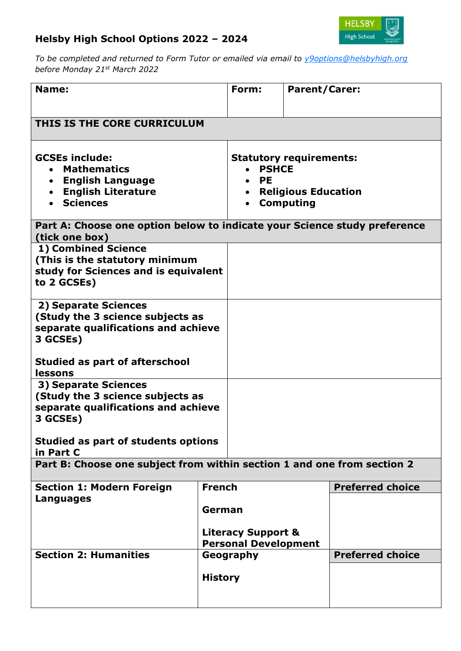## **Helsby High School Options 2022 – 2024**



*To be completed and returned to Form Tutor or emailed via email to [y9options@helsbyhigh.org](mailto:y9options@helsbyhigh.org) before Monday 21st March 2022*

| Name:                                                                                                        |                                                              | Form:                                                                                                                      | <b>Parent/Carer:</b>    |  |  |  |
|--------------------------------------------------------------------------------------------------------------|--------------------------------------------------------------|----------------------------------------------------------------------------------------------------------------------------|-------------------------|--|--|--|
| THIS IS THE CORE CURRICULUM                                                                                  |                                                              |                                                                                                                            |                         |  |  |  |
| <b>GCSEs include:</b><br><b>Mathematics</b><br>• English Language<br>• English Literature<br><b>Sciences</b> |                                                              | <b>Statutory requirements:</b><br><b>PSHCE</b><br><b>PE</b><br><b>Religious Education</b><br>$\bullet$<br><b>Computing</b> |                         |  |  |  |
| Part A: Choose one option below to indicate your Science study preference<br>(tick one box)                  |                                                              |                                                                                                                            |                         |  |  |  |
| 1) Combined Science<br>(This is the statutory minimum<br>study for Sciences and is equivalent<br>to 2 GCSEs) |                                                              |                                                                                                                            |                         |  |  |  |
| 2) Separate Sciences<br>(Study the 3 science subjects as<br>separate qualifications and achieve<br>3 GCSEs)  |                                                              |                                                                                                                            |                         |  |  |  |
| <b>Studied as part of afterschool</b><br>lessons                                                             |                                                              |                                                                                                                            |                         |  |  |  |
| 3) Separate Sciences<br>(Study the 3 science subjects as<br>separate qualifications and achieve<br>3 GCSEs)  |                                                              |                                                                                                                            |                         |  |  |  |
| Studied as part of students options<br>in Part C                                                             |                                                              |                                                                                                                            |                         |  |  |  |
| Part B: Choose one subject from within section 1 and one from section 2                                      |                                                              |                                                                                                                            |                         |  |  |  |
| <b>Section 1: Modern Foreign</b><br>Languages                                                                | <b>French</b>                                                |                                                                                                                            | <b>Preferred choice</b> |  |  |  |
|                                                                                                              | German                                                       |                                                                                                                            |                         |  |  |  |
|                                                                                                              | <b>Literacy Support &amp;</b><br><b>Personal Development</b> |                                                                                                                            |                         |  |  |  |
| <b>Section 2: Humanities</b><br><b>History</b>                                                               |                                                              | Geography                                                                                                                  | <b>Preferred choice</b> |  |  |  |
|                                                                                                              |                                                              |                                                                                                                            |                         |  |  |  |
|                                                                                                              |                                                              |                                                                                                                            |                         |  |  |  |